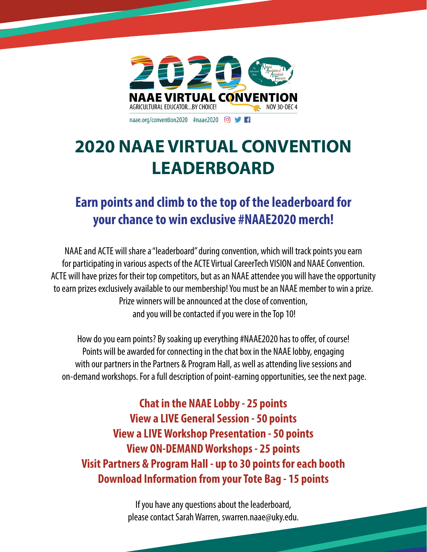

# **2020 NAAE VIRTUAL CONVENTION LEADERBOARD**

## **Earn points and climb to the top of the leaderboard for your chance to win exclusive #NAAE2020 merch!**

NAAE and ACTE will share a "leaderboard" during convention, which will track points you earn for participating in various aspects of the ACTE Virtual CareerTech VISION and NAAE Convention. ACTE will have prizes for their top competitors, but as an NAAE attendee you will have the opportunity to earn prizes exclusively available to our membership! You must be an NAAE member to win a prize. Prize winners will be announced at the close of convention, and you will be contacted if you were in the Top 10!

How do you earn points? By soaking up everything #NAAE2020 has to offer, of course! Points will be awarded for connecting in the chat box in the NAAE lobby, engaging with our partners in the Partners & Program Hall, as well as attending live sessions and on-demand workshops. For a full description of point-earning opportunities, see the next page.

**Chat in the NAAE Lobby - 25 points View a LIVE General Session - 50 points View a LIVE Workshop Presentation - 50 points View ON-DEMAND Workshops - 25 points Visit Partners & Program Hall - up to 30 points for each booth Download Information from your Tote Bag - 15 points**

> If you have any questions about the leaderboard, please contact Sarah Warren, swarren.naae@uky.edu.